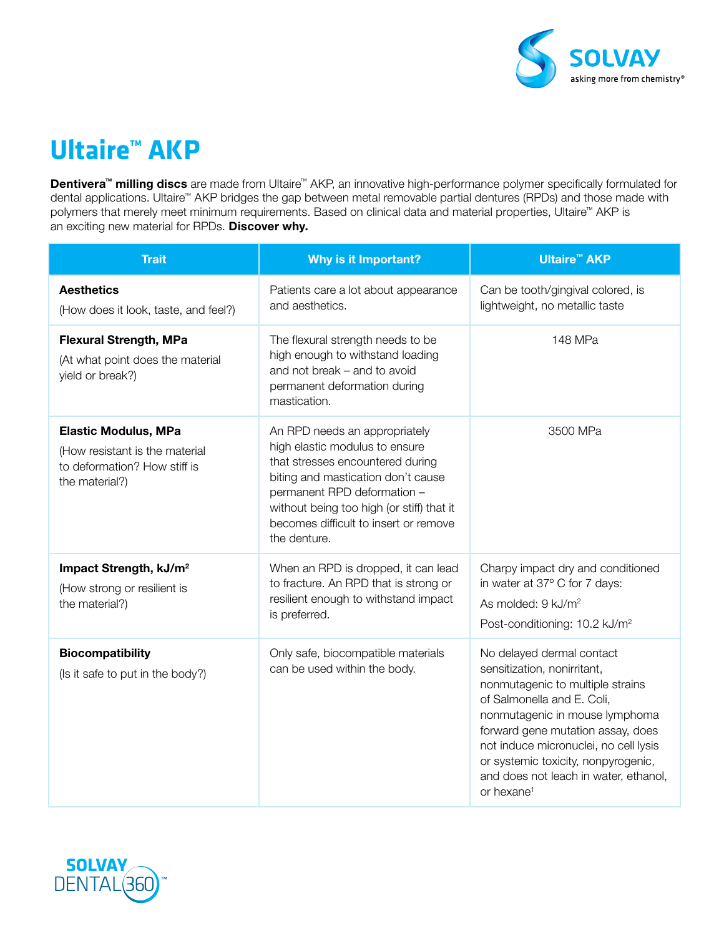

## **Ultaire™ AKP**

Dentivera™ milling discs are made from Ultaire™ AKP, an innovative high-performance polymer specifically formulated for dental applications. Ultaire™ AKP bridges the gap between metal removable partial dentures (RPDs) and those made with polymers that merely meet minimum requirements. Based on clinical data and material properties, Ultaire™ AKP is an exciting new material for RPDs. Discover why.

| <b>Trait</b>                                                                                                    | Why is it Important?                                                                                                                                                                                                                                                           | <b>Ultaire<sup>™</sup> AKP</b>                                                                                                                                                                                                                                                                                                                       |
|-----------------------------------------------------------------------------------------------------------------|--------------------------------------------------------------------------------------------------------------------------------------------------------------------------------------------------------------------------------------------------------------------------------|------------------------------------------------------------------------------------------------------------------------------------------------------------------------------------------------------------------------------------------------------------------------------------------------------------------------------------------------------|
| <b>Aesthetics</b><br>(How does it look, taste, and feel?)                                                       | Patients care a lot about appearance<br>and aesthetics.                                                                                                                                                                                                                        | Can be tooth/gingival colored, is<br>lightweight, no metallic taste                                                                                                                                                                                                                                                                                  |
| <b>Flexural Strength, MPa</b><br>(At what point does the material<br>yield or break?)                           | The flexural strength needs to be<br>high enough to withstand loading<br>and not break - and to avoid<br>permanent deformation during<br>mastication.                                                                                                                          | 148 MPa                                                                                                                                                                                                                                                                                                                                              |
| <b>Elastic Modulus, MPa</b><br>(How resistant is the material<br>to deformation? How stiff is<br>the material?) | An RPD needs an appropriately<br>high elastic modulus to ensure<br>that stresses encountered during<br>biting and mastication don't cause<br>permanent RPD deformation -<br>without being too high (or stiff) that it<br>becomes difficult to insert or remove<br>the denture. | 3500 MPa                                                                                                                                                                                                                                                                                                                                             |
| Impact Strength, kJ/m <sup>2</sup><br>(How strong or resilient is<br>the material?)                             | When an RPD is dropped, it can lead<br>to fracture. An RPD that is strong or<br>resilient enough to withstand impact<br>is preferred.                                                                                                                                          | Charpy impact dry and conditioned<br>in water at 37° C for 7 days:<br>As molded: 9 kJ/m <sup>2</sup><br>Post-conditioning: 10.2 kJ/m <sup>2</sup>                                                                                                                                                                                                    |
| <b>Biocompatibility</b><br>(Is it safe to put in the body?)                                                     | Only safe, biocompatible materials<br>can be used within the body.                                                                                                                                                                                                             | No delayed dermal contact<br>sensitization, nonirritant,<br>nonmutagenic to multiple strains<br>of Salmonella and E. Coli,<br>nonmutagenic in mouse lymphoma<br>forward gene mutation assay, does<br>not induce micronuclei, no cell lysis<br>or systemic toxicity, nonpyrogenic,<br>and does not leach in water, ethanol,<br>or hexane <sup>1</sup> |